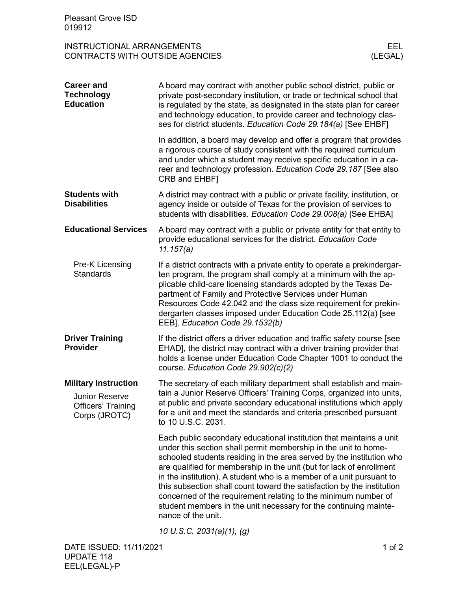|                                                                                                                                                                                                                                                                                                                                                                                                                                                                                                                                                                                                      | EEL. |
|------------------------------------------------------------------------------------------------------------------------------------------------------------------------------------------------------------------------------------------------------------------------------------------------------------------------------------------------------------------------------------------------------------------------------------------------------------------------------------------------------------------------------------------------------------------------------------------------------|------|
| <b>INSTRUCTIONAL ARRANGEMENTS</b><br><b>CONTRACTS WITH OUTSIDE AGENCIES</b><br>(LEGAL)                                                                                                                                                                                                                                                                                                                                                                                                                                                                                                               |      |
| <b>Career and</b><br>A board may contract with another public school district, public or<br><b>Technology</b><br>private post-secondary institution, or trade or technical school that<br><b>Education</b><br>is regulated by the state, as designated in the state plan for career<br>and technology education, to provide career and technology clas-<br>ses for district students. Education Code 29.184(a) [See EHBF]                                                                                                                                                                            |      |
| In addition, a board may develop and offer a program that provides<br>a rigorous course of study consistent with the required curriculum<br>and under which a student may receive specific education in a ca-<br>reer and technology profession. Education Code 29.187 [See also<br>CRB and EHBF]                                                                                                                                                                                                                                                                                                    |      |
| <b>Students with</b><br>A district may contract with a public or private facility, institution, or<br><b>Disabilities</b><br>agency inside or outside of Texas for the provision of services to<br>students with disabilities. Education Code 29.008(a) [See EHBA]                                                                                                                                                                                                                                                                                                                                   |      |
| <b>Educational Services</b><br>A board may contract with a public or private entity for that entity to<br>provide educational services for the district. Education Code<br>11.157(a)                                                                                                                                                                                                                                                                                                                                                                                                                 |      |
| Pre-K Licensing<br>If a district contracts with a private entity to operate a prekindergar-<br><b>Standards</b><br>ten program, the program shall comply at a minimum with the ap-<br>plicable child-care licensing standards adopted by the Texas De-<br>partment of Family and Protective Services under Human<br>Resources Code 42.042 and the class size requirement for prekin-<br>dergarten classes imposed under Education Code 25.112(a) [see<br>EEB]. Education Code 29.1532(b)                                                                                                             |      |
| <b>Driver Training</b><br>If the district offers a driver education and traffic safety course [see<br>Provider<br>EHAD], the district may contract with a driver training provider that<br>holds a license under Education Code Chapter 1001 to conduct the<br>course. Education Code 29.902(c)(2)                                                                                                                                                                                                                                                                                                   |      |
| <b>Military Instruction</b><br>The secretary of each military department shall establish and main-<br>tain a Junior Reserve Officers' Training Corps, organized into units,<br><b>Junior Reserve</b><br>at public and private secondary educational institutions which apply<br><b>Officers' Training</b><br>for a unit and meet the standards and criteria prescribed pursuant<br>Corps (JROTC)<br>to 10 U.S.C. 2031.                                                                                                                                                                               |      |
| Each public secondary educational institution that maintains a unit<br>under this section shall permit membership in the unit to home-<br>schooled students residing in the area served by the institution who<br>are qualified for membership in the unit (but for lack of enrollment<br>in the institution). A student who is a member of a unit pursuant to<br>this subsection shall count toward the satisfaction by the institution<br>concerned of the requirement relating to the minimum number of<br>student members in the unit necessary for the continuing mainte-<br>nance of the unit. |      |
| 10 U.S.C. 2031(a)(1), (g)<br>DATE ISSUED: 11/11/2021<br>1 of $2$                                                                                                                                                                                                                                                                                                                                                                                                                                                                                                                                     |      |